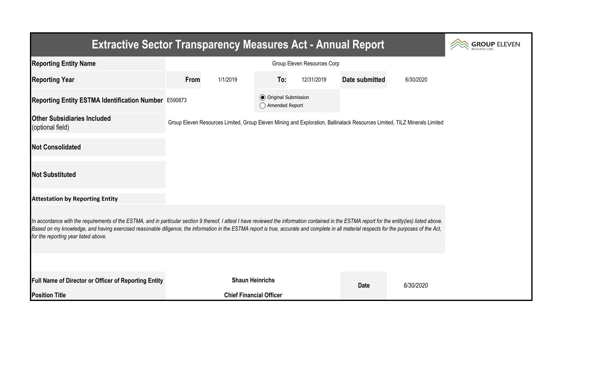| <b>Extractive Sector Transparency Measures Act - Annual Report</b>                                                                                                                                                                                                                                                                                                                                                                    | <b>OUP ELEVEN</b> |                                |                                                  |            |                |                                                                                                                           |  |  |  |  |
|---------------------------------------------------------------------------------------------------------------------------------------------------------------------------------------------------------------------------------------------------------------------------------------------------------------------------------------------------------------------------------------------------------------------------------------|-------------------|--------------------------------|--------------------------------------------------|------------|----------------|---------------------------------------------------------------------------------------------------------------------------|--|--|--|--|
| <b>Reporting Entity Name</b>                                                                                                                                                                                                                                                                                                                                                                                                          |                   |                                |                                                  |            |                |                                                                                                                           |  |  |  |  |
| <b>Reporting Year</b>                                                                                                                                                                                                                                                                                                                                                                                                                 | From              | 1/1/2019                       | To:                                              | 12/31/2019 | Date submitted | 6/30/2020                                                                                                                 |  |  |  |  |
| Reporting Entity ESTMA Identification Number E590873                                                                                                                                                                                                                                                                                                                                                                                  |                   |                                | <b>◎</b> Original Submission<br>◯ Amended Report |            |                |                                                                                                                           |  |  |  |  |
| <b>Other Subsidiaries Included</b><br>(optional field)                                                                                                                                                                                                                                                                                                                                                                                |                   |                                |                                                  |            |                | Group Eleven Resources Limited, Group Eleven Mining and Exploration, Ballinalack Resources Limited, TILZ Minerals Limited |  |  |  |  |
| <b>Not Consolidated</b>                                                                                                                                                                                                                                                                                                                                                                                                               |                   |                                |                                                  |            |                |                                                                                                                           |  |  |  |  |
| <b>Not Substituted</b>                                                                                                                                                                                                                                                                                                                                                                                                                |                   |                                |                                                  |            |                |                                                                                                                           |  |  |  |  |
| <b>Attestation by Reporting Entity</b>                                                                                                                                                                                                                                                                                                                                                                                                |                   |                                |                                                  |            |                |                                                                                                                           |  |  |  |  |
| In accordance with the requirements of the ESTMA, and in particular section 9 thereof, I attest I have reviewed the information contained in the ESTMA report for the entity(ies) listed above.<br>Based on my knowledge, and having exercised reasonable diligence, the information in the ESTMA report is true, accurate and complete in all material respects for the purposes of the Act,<br>for the reporting year listed above. |                   |                                |                                                  |            |                |                                                                                                                           |  |  |  |  |
|                                                                                                                                                                                                                                                                                                                                                                                                                                       |                   |                                |                                                  |            |                |                                                                                                                           |  |  |  |  |
| Full Name of Director or Officer of Reporting Entity                                                                                                                                                                                                                                                                                                                                                                                  |                   | <b>Shaun Heinrichs</b>         |                                                  |            | <b>Date</b>    | 6/30/2020                                                                                                                 |  |  |  |  |
| <b>Position Title</b>                                                                                                                                                                                                                                                                                                                                                                                                                 |                   | <b>Chief Financial Officer</b> |                                                  |            |                |                                                                                                                           |  |  |  |  |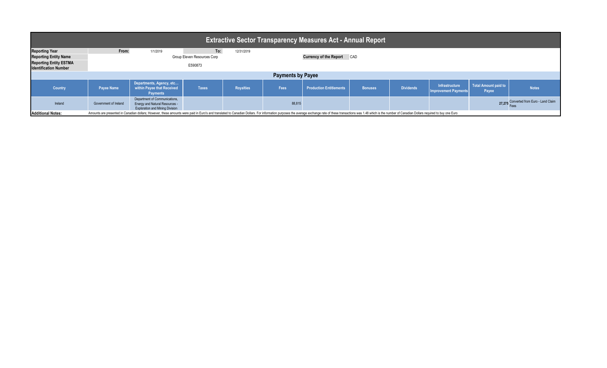| <b>Extractive Sector Transparency Measures Act - Annual Report</b>                                                                                                                                                                                         |                                    |                                                                                                                  |              |                  |             |                                   |                |                  |                                                      |                               |                                         |  |  |
|------------------------------------------------------------------------------------------------------------------------------------------------------------------------------------------------------------------------------------------------------------|------------------------------------|------------------------------------------------------------------------------------------------------------------|--------------|------------------|-------------|-----------------------------------|----------------|------------------|------------------------------------------------------|-------------------------------|-----------------------------------------|--|--|
| <b>Reporting Year</b>                                                                                                                                                                                                                                      | From:                              | 1/1/2019                                                                                                         | To:          | 12/31/2019       |             |                                   |                |                  |                                                      |                               |                                         |  |  |
| <b>Reporting Entity Name</b>                                                                                                                                                                                                                               | <b>Group Eleven Resources Corp</b> |                                                                                                                  |              |                  |             | <b>Currency of the Report CAD</b> |                |                  |                                                      |                               |                                         |  |  |
| <b>Reporting Entity ESTMA</b><br><b>Identification Number</b>                                                                                                                                                                                              | E590873                            |                                                                                                                  |              |                  |             |                                   |                |                  |                                                      |                               |                                         |  |  |
| <b>Payments by Payee</b>                                                                                                                                                                                                                                   |                                    |                                                                                                                  |              |                  |             |                                   |                |                  |                                                      |                               |                                         |  |  |
| <b>Country</b>                                                                                                                                                                                                                                             | <b>Payee Name</b>                  | Departments, Agency, etc<br>within Payee that Received<br><b>Payments</b>                                        | <b>Taxes</b> | <b>Royalties</b> | <b>Fees</b> | <b>Production Entitlements</b>    | <b>Bonuses</b> | <b>Dividends</b> | <b>Infrastructure</b><br><b>Improvement Payments</b> | Total Amount paid to<br>Payee | <b>Notes</b>                            |  |  |
| Ireland                                                                                                                                                                                                                                                    | Government of Ireland              | Department of Communications,<br><b>Energy and Natural Resources -</b><br><b>Exploration and Mining Division</b> |              |                  | 88,815      |                                   |                |                  |                                                      |                               | 27,275 Converted from Euro - Land Claim |  |  |
| <b>Additional Notes:</b><br>Amounts are presented in Canadian dollars; However, these amounts were paid in Euro's and translated to Canadian Dollars. For information purposes the average exchange rate of these transactions was 1.48 which is the numbe |                                    |                                                                                                                  |              |                  |             |                                   |                |                  |                                                      |                               |                                         |  |  |